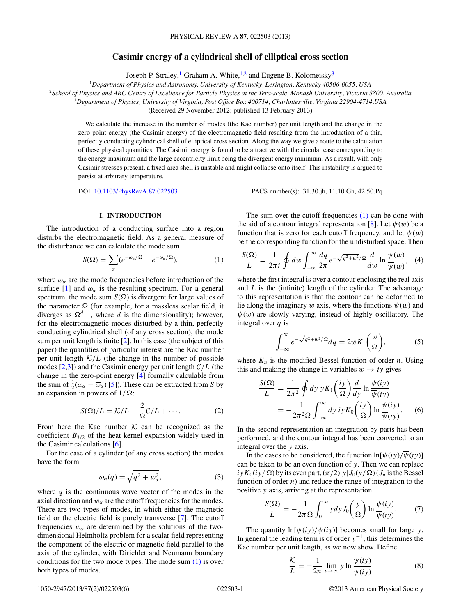# **Casimir energy of a cylindrical shell of elliptical cross section**

Joseph P. Straley,<sup>1</sup> Graham A. White,<sup>1,2</sup> and Eugene B. Kolomeisky<sup>3</sup>

<span id="page-0-0"></span><sup>1</sup>*Department of Physics and Astronomy, University of Kentucky, Lexington, Kentucky 40506-0055, USA* <sup>2</sup>*School of Physics and ARC Centre of Excellence for Particle Physics at the Tera-scale, Monash University, Victoria 3800, Australia* <sup>3</sup>*Department of Physics, University of Virginia, Post Office Box 400714, Charlottesville, Virginia 22904-4714,USA*

(Received 29 November 2012; published 13 February 2013)

We calculate the increase in the number of modes (the Kac number) per unit length and the change in the zero-point energy (the Casimir energy) of the electromagnetic field resulting from the introduction of a thin, perfectly conducting cylindrical shell of elliptical cross section. Along the way we give a route to the calculation of these physical quantities. The Casimir energy is found to be attractive with the circular case corresponding to the energy maximum and the large eccentricity limit being the divergent energy minimum. As a result, with only Casimir stresses present, a fixed-area shell is unstable and might collapse onto itself. This instability is argued to persist at arbitrary temperature.

DOI: [10.1103/PhysRevA.87.022503](http://dx.doi.org/10.1103/PhysRevA.87.022503) PACS number(s): 31*.*30*.*jh, 11*.*10*.*Gh, 42*.*50*.*Pq

### **I. INTRODUCTION**

The introduction of a conducting surface into a region disturbs the electromagnetic field. As a general measure of the disturbance we can calculate the mode sum

$$
S(\Omega) = \sum_{\alpha} (e^{-\omega_{\alpha}/\Omega} - e^{-\overline{\omega}_{\alpha}/\Omega}), \tag{1}
$$

where  $\overline{\omega}_{\alpha}$  are the mode frequencies before introduction of the surface [\[1\]](#page-5-0) and  $\omega_{\alpha}$  is the resulting spectrum. For a general spectrum, the mode sum  $S(\Omega)$  is divergent for large values of the parameter  $\Omega$  (for example, for a massless scalar field, it diverges as  $\Omega^{d-1}$ , where *d* is the dimensionality); however, for the electromagnetic modes disturbed by a thin, perfectly conducting cylindrical shell (of any cross section), the mode sum per unit length is finite [\[2\]](#page-5-0). In this case (the subject of this paper) the quantities of particular interest are the Kac number per unit length  $K/L$  (the change in the number of possible modes [\[2,3\]](#page-5-0)) and the Casimir energy per unit length C*/L* (the change in the zero-point energy [\[4\]](#page-5-0) formally calculable from the sum of  $\frac{1}{2}(\omega_{\alpha} - \overline{\omega}_{\alpha})$  [\[5\]](#page-5-0)). These can be extracted from *S* by an expansion in powers of  $1/\Omega$ :

$$
S(\Omega)/L = \mathcal{K}/L - \frac{2}{\Omega}\mathcal{C}/L + \cdots.
$$
 (2)

From here the Kac number  $K$  can be recognized as the coefficient  $B_{3/2}$  of the heat kernel expansion widely used in the Casimir calculations [\[6\]](#page-5-0).

For the case of a cylinder (of any cross section) the modes have the form

$$
\omega_{\alpha}(q) = \sqrt{q^2 + w_{\alpha}^2},\tag{3}
$$

where  $q$  is the continuous wave vector of the modes in the axial direction and  $w_\alpha$  are the cutoff frequencies for the modes. There are two types of modes, in which either the magnetic field or the electric field is purely transverse [\[7\]](#page-5-0). The cutoff frequencies  $w_\alpha$  are determined by the solutions of the twodimensional Helmholtz problem for a scalar field representing the component of the electric or magnetic field parallel to the axis of the cylinder, with Dirichlet and Neumann boundary conditions for the two mode types. The mode sum  $(1)$  is over both types of modes.

The sum over the cutoff frequencies  $(1)$  can be done with the aid of a contour integral representation [\[8\]](#page-5-0). Let  $\psi(w)$  be a function that is zero for each cutoff frequency, and let  $\psi(w)$ be the corresponding function for the undisturbed space. Then

$$
\frac{S(\Omega)}{L} = \frac{1}{2\pi i} \oint dw \int_{-\infty}^{\infty} \frac{dq}{2\pi} e^{-\sqrt{q^2 + w^2}/\Omega} \frac{d}{dw} \ln \frac{\psi(w)}{\overline{\psi(w)}}, \quad (4)
$$

where the first integral is over a contour enclosing the real axis and *L* is the (infinite) length of the cylinder. The advantage to this representation is that the contour can be deformed to lie along the imaginary *w* axis, where the functions  $\psi(w)$  and  $\overline{\psi}(w)$  are slowly varying, instead of highly oscillatory. The integral over *q* is

$$
\int_{-\infty}^{\infty} e^{-\sqrt{q^2 + w^2}/\Omega} dq = 2w K_1 \left(\frac{w}{\Omega}\right),\tag{5}
$$

where  $K_n$  is the modified Bessel function of order *n*. Using this and making the change in variables  $w \rightarrow iy$  gives

$$
\frac{S(\Omega)}{L} = \frac{1}{2\pi^2} \oint dy y K_1 \left(\frac{iy}{\Omega}\right) \frac{d}{dy} \ln \frac{\psi(iy)}{\overline{\psi(iy)}}
$$

$$
= -\frac{1}{2\pi^2 \Omega} \int_{-\infty}^{\infty} dy \, iy K_0 \left(\frac{iy}{\Omega}\right) \ln \frac{\psi(iy)}{\overline{\psi(iy)}}.
$$
(6)

In the second representation an integration by parts has been performed, and the contour integral has been converted to an integral over the *y* axis.

In the cases to be considered, the function  $\ln[\psi(iy)/\overline{\psi}(i\overline{y})]$ can be taken to be an even function of *y*. Then we can replace  $iy K_0(iy/\Omega)$  by its even part,  $(\pi/2)|y| J_0(y/\Omega)$  ( $J_n$  is the Bessel function of order  $n$ ) and reduce the range of integration to the positive *y* axis, arriving at the representation

$$
\frac{S(\Omega)}{L} = -\frac{1}{2\pi\Omega} \int_0^\infty y dy J_0\left(\frac{y}{\Omega}\right) \ln \frac{\psi(iy)}{\overline{\psi}(iy)}.
$$
 (7)

The quantity  $ln[\psi(iy)/\overline{\psi}(iy)]$  becomes small for large *y*. In general the leading term is of order *y*<sup>−</sup>1; this determines the Kac number per unit length, as we now show. Define

$$
\frac{\mathcal{K}}{L} = -\frac{1}{2\pi} \lim_{y \to \infty} y \ln \frac{\psi(iy)}{\overline{\psi(iy)}} \tag{8}
$$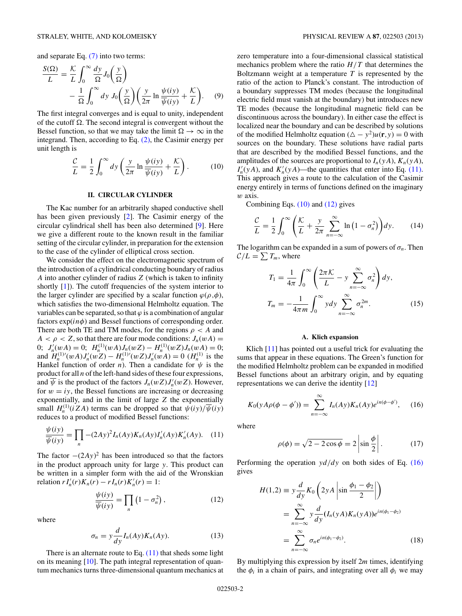<span id="page-1-0"></span>and separate Eq.  $(7)$  into two terms:

$$
\frac{S(\Omega)}{L} = \frac{\mathcal{K}}{L} \int_0^\infty \frac{dy}{\Omega} J_0\left(\frac{y}{\Omega}\right) - \frac{1}{\Omega} \int_0^\infty dy \, J_0\left(\frac{y}{\Omega}\right) \left(\frac{y}{2\pi} \ln \frac{\psi(iy)}{\overline{\psi}(iy)} + \frac{\mathcal{K}}{L}\right). \tag{9}
$$

The first integral converges and is equal to unity, independent of the cutoff  $\Omega$ . The second integral is convergent without the Bessel function, so that we may take the limit  $\Omega \to \infty$  in the integrand. Then, according to Eq. [\(2\),](#page-0-0) the Casimir energy per unit length is

$$
\frac{\mathcal{C}}{L} = \frac{1}{2} \int_0^\infty dy \left( \frac{y}{2\pi} \ln \frac{\psi(iy)}{\overline{\psi}(iy)} + \frac{\mathcal{K}}{L} \right). \tag{10}
$$

## **II. CIRCULAR CYLINDER**

The Kac number for an arbitrarily shaped conductive shell has been given previously [\[2\]](#page-5-0). The Casimir energy of the circular cylindrical shell has been also determined [\[9\]](#page-5-0). Here we give a different route to the known result in the familiar setting of the circular cylinder, in preparation for the extension to the case of the cylinder of elliptical cross section.

We consider the effect on the electromagnetic spectrum of the introduction of a cylindrical conducting boundary of radius *A* into another cylinder of radius *Z* (which is taken to infinity shortly [\[1\]](#page-5-0)). The cutoff frequencies of the system interior to the larger cylinder are specified by a scalar function  $\varphi(\rho, \phi)$ , which satisfies the two-dimensional Helmholtz equation. The variables can be separated, so that  $\varphi$  is a combination of angular factors exp(*inφ*) and Bessel functions of corresponding order. There are both TE and TM modes, for the regions  $\rho < A$  and  $A < \rho < Z$ , so that there are four mode conditions:  $J_n(wA) =$ 0;  $J'_n(wA) = 0$ ;  $H_n^{(1)}(wA)J_n(wZ) - H_n^{(1)}(wZ)J_n(wA) = 0$ ; and  $H_n^{(1)'}(wA)J'_n(wZ) - H_n^{(1)'}(wZ)J'_n(wA) = 0$  ( $H_n^{(1)}$  is the Hankel function of order *n*). Then a candidate for  $\psi$  is the product for all *n* of the left-hand sides of these four expressions, and  $\overline{\psi}$  is the product of the factors  $J_n(wZ)J'_n(wZ)$ . However, for  $w = iy$ , the Bessel functions are increasing or decreasing exponentially, and in the limit of large *Z* the exponentially small  $H_n^{(1)}(iZA)$  terms can be dropped so that  $\psi(iy)/\overline{\psi}(iy)$ reduces to a product of modified Bessel functions:

$$
\frac{\psi(iy)}{\overline{\psi}(iy)} = \prod_n -(2Ay)^2 I_n(Ay) K_n(Ay) I'_n(Ay) K'_n(Ay). \quad (11)
$$

The factor  $-(2Ay)^2$  has been introduced so that the factors in the product approach unity for large *y*. This product can be written in a simpler form with the aid of the Wronskian  $rI'_n(r)K_n(r) - rI_n(r)K'_n(r) = 1$ :

$$
\frac{\psi(iy)}{\overline{\psi}(iy)} = \prod_{n} \left( 1 - \sigma_n^2 \right),\tag{12}
$$

where

$$
\sigma_n = y \frac{d}{dy} I_n(Ay) K_n(Ay). \tag{13}
$$

There is an alternate route to Eq.  $(11)$  that sheds some light on its meaning [\[10\]](#page-5-0). The path integral representation of quantum mechanics turns three-dimensional quantum mechanics at zero temperature into a four-dimensional classical statistical mechanics problem where the ratio  $H/T$  that determines the Boltzmann weight at a temperature *T* is represented by the ratio of the action to Planck's constant. The introduction of a boundary suppresses TM modes (because the longitudinal electric field must vanish at the boundary) but introduces new TE modes (because the longitudinal magnetic field can be discontinuous across the boundary). In either case the effect is localized near the boundary and can be described by solutions of the modified Helmholtz equation  $(\Delta - y^2)u(\mathbf{r}, y) = 0$  with sources on the boundary. These solutions have radial parts that are described by the modified Bessel functions, and the amplitudes of the sources are proportional to  $I_n(yA)$ ,  $K_n(yA)$ ,  $I'_n(yA)$ , and  $K'_n(yA)$ —the quantities that enter into Eq. (11). This approach gives a route to the calculation of the Casimir energy entirely in terms of functions defined on the imaginary *w* axis.

Combining Eqs. (10) and (12) gives

$$
\frac{\mathcal{C}}{L} = \frac{1}{2} \int_0^\infty \left( \frac{\mathcal{K}}{L} + \frac{y}{2\pi} \sum_{n=-\infty}^\infty \ln\left(1 - \sigma_n^2\right) \right) dy. \tag{14}
$$

The logarithm can be expanded in a sum of powers of  $\sigma_n$ . Then  $C/L = \sum T_m$ , where

$$
T_1 = \frac{1}{4\pi} \int_0^\infty \left( \frac{2\pi \mathcal{K}}{L} - y \sum_{n=-\infty}^\infty \sigma_n^2 \right) dy,
$$
  

$$
T_m = -\frac{1}{4\pi m} \int_0^\infty y dy \sum_{n=-\infty}^\infty \sigma_n^{2m}.
$$
 (15)

### **A. Klich expansion**

Klich [\[11\]](#page-5-0) has pointed out a useful trick for evaluating the sums that appear in these equations. The Green's function for the modified Helmholtz problem can be expanded in modified Bessel functions about an arbitrary origin, and by equating representations we can derive the identity [\[12\]](#page-5-0)

$$
K_0(yA\rho(\phi-\phi'))=\sum_{n=-\infty}^{\infty}I_n(Ay)K_n(Ay)e^{in(\phi-\phi')},\quad (16)
$$

where

$$
\rho(\phi) = \sqrt{2 - 2\cos\phi} = 2\left|\sin\frac{\phi}{2}\right|.\tag{17}
$$

Performing the operation *yd/dy* on both sides of Eq. (16) gives

$$
H(1,2) \equiv y \frac{d}{dy} K_0 \left( 2yA \left| \sin \frac{\phi_1 - \phi_2}{2} \right| \right)
$$
  

$$
= \sum_{n=-\infty}^{\infty} y \frac{d}{dy} (I_n(yA)K_n(yA))e^{in(\phi_1 - \phi_2)}
$$
  

$$
= \sum_{n=-\infty}^{\infty} \sigma_n e^{in(\phi_1 - \phi_2)}.
$$
 (18)

By multiplying this expression by itself 2*m* times, identifying the  $\phi_i$  in a chain of pairs, and integrating over all  $\phi_i$  we may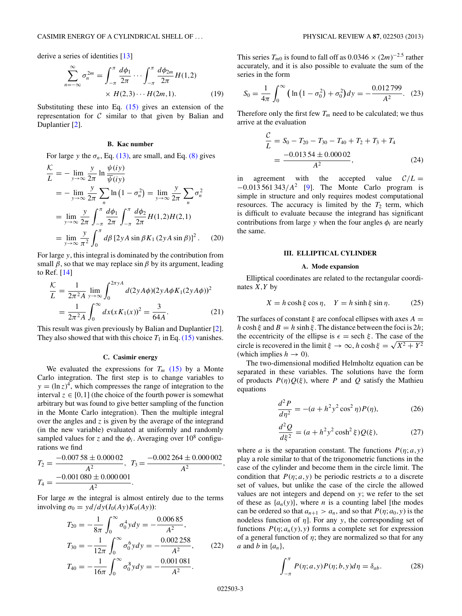<span id="page-2-0"></span>derive a series of identities [\[13\]](#page-5-0)

$$
\sum_{n=-\infty}^{\infty} \sigma_n^{2m} = \int_{-\pi}^{\pi} \frac{d\phi_1}{2\pi} \cdots \int_{-\pi}^{\pi} \frac{d\phi_{2m}}{2\pi} H(1,2) \times H(2,3) \cdots H(2m,1). \tag{19}
$$

Substituting these into Eq.  $(15)$  gives an extension of the representation for  $C$  similar to that given by Balian and Duplantier [\[2\]](#page-5-0).

## **B. Kac number**

For large *y* the  $\sigma_n$ , Eq. [\(13\),](#page-1-0) are small, and Eq. [\(8\)](#page-0-0) gives

$$
\frac{\mathcal{K}}{L} = -\lim_{y \to \infty} \frac{y}{2\pi} \ln \frac{\psi(iy)}{\overline{\psi(iy)}}
$$
  
\n
$$
= -\lim_{y \to \infty} \frac{y}{2\pi} \sum_{n} \ln (1 - \sigma_n^2) = \lim_{y \to \infty} \frac{y}{2\pi} \sum_{n} \sigma_n^2
$$
  
\n
$$
= \lim_{y \to \infty} \frac{y}{2\pi} \int_{-\pi}^{\pi} \frac{d\phi_1}{2\pi} \int_{-\pi}^{\pi} \frac{d\phi_2}{2\pi} H(1,2)H(2,1)
$$
  
\n
$$
= \lim_{y \to \infty} \frac{y}{\pi^2} \int_{0}^{\pi} d\beta [2yA \sin \beta K_1 (2yA \sin \beta)]^2. \quad (20)
$$

For large *y*, this integral is dominated by the contribution from small  $\beta$ , so that we may replace sin  $\beta$  by its argument, leading to Ref. [\[14\]](#page-5-0)

$$
\frac{\mathcal{K}}{L} = \frac{1}{2\pi^2 A} \lim_{y \to \infty} \int_0^{2\pi y A} d(2y A\phi)(2y A\phi K_1(2y A\phi))^2
$$
  
= 
$$
\frac{1}{2\pi^2 A} \int_0^{\infty} dx (x K_1(x))^2 = \frac{3}{64A}.
$$
 (21)

This result was given previously by Balian and Duplantier [\[2\]](#page-5-0). They also showed that with this choice  $T_1$  in Eq. [\(15\)](#page-1-0) vanishes.

### **C. Casimir energy**

We evaluated the expressions for  $T_m$  [\(15\)](#page-1-0) by a Monte Carlo integration. The first step is to change variables to  $y = (\ln z)^4$ , which compresses the range of integration to the interval  $z \in [0,1]$  (the choice of the fourth power is somewhat arbitrary but was found to give better sampling of the function in the Monte Carlo integration). Then the multiple integral over the angles and *z* is given by the average of the integrand (in the new variable) evaluated at uniformly and randomly sampled values for *z* and the  $\phi_i$ . Averaging over 10<sup>8</sup> configurations we find

$$
T_2 = \frac{-0.00758 \pm 0.00002}{A^2}, \quad T_3 = \frac{-0.002264 \pm 0.000002}{A^2},
$$
  

$$
T_4 = \frac{-0.001080 \pm 0.000001}{A^2}.
$$

For large *m* the integral is almost entirely due to the terms  $involving \ \sigma_0 = y \frac{d}{dy} I(y(I_0(Ay)K_0(Ay))$ :

$$
T_{20} = -\frac{1}{8\pi} \int_0^\infty \sigma_0^4 y dy = -\frac{0.00685}{A^2},
$$
  
\n
$$
T_{30} = -\frac{1}{12\pi} \int_0^\infty \sigma_0^6 y dy = -\frac{0.002258}{A^2},
$$
  
\n
$$
T_{40} = -\frac{1}{16\pi} \int_0^\infty \sigma_0^8 y dy = -\frac{0.001081}{A^2}.
$$
\n(22)

This series  $T_{m0}$  is found to fall off as  $0.0346 \times (2m)^{-2.5}$  rather accurately, and it is also possible to evaluate the sum of the series in the form

$$
S_0 = \frac{1}{4\pi} \int_0^\infty \left( \ln \left( 1 - \sigma_0^2 \right) + \sigma_0^2 \right) dy = -\frac{0.012799}{A^2}.
$$
 (23)

Therefore only the first few  $T_m$  need to be calculated; we thus arrive at the evaluation

$$
\frac{C}{L} = S_0 - T_{20} - T_{30} - T_{40} + T_2 + T_3 + T_4
$$
  
= 
$$
\frac{-0.01354 \pm 0.00002}{A^2},
$$
 (24)

in agreement with the accepted value  $C/L =$ −0*.*013 561 343*/A*<sup>2</sup> [\[9\]](#page-5-0). The Monte Carlo program is simple in structure and only requires modest computational resources. The accuracy is limited by the  $T_2$  term, which is difficult to evaluate because the integrand has significant contributions from large *y* when the four angles  $\phi_i$  are nearly the same.

### **III. ELLIPTICAL CYLINDER**

### **A. Mode expansion**

Elliptical coordinates are related to the rectangular coordinates *X,Y* by

$$
X = h \cosh \xi \cos \eta, \quad Y = h \sinh \xi \sin \eta. \tag{25}
$$

The surfaces of constant  $\xi$  are confocal ellipses with axes  $A =$ *h* cosh  $\xi$  and  $B = h \sinh \xi$ . The distance between the foci is 2*h*; the eccentricity of the ellipse is  $\epsilon =$  sech  $\xi$ . The case of the circle is recovered in the limit  $\xi \to \infty$ , *h* cosh  $\xi = \sqrt{X^2 + Y^2}$ (which implies  $h \to 0$ ).

The two-dimensional modified Helmholtz equation can be separated in these variables. The solutions have the form of products  $P(\eta)Q(\xi)$ , where *P* and *Q* satisfy the Mathieu equations

$$
\frac{d^2P}{d\eta^2} = -(a + h^2 y^2 \cos^2 \eta) P(\eta),
$$
 (26)

$$
\frac{d^2Q}{d\xi^2} = (a + h^2 y^2 \cosh^2 \xi) Q(\xi),
$$
 (27)

where *a* is the separation constant. The functions  $P(\eta; a, y)$ play a role similar to that of the trigonometric functions in the case of the cylinder and become them in the circle limit. The condition that  $P(\eta; a, y)$  be periodic restricts *a* to a discrete set of values, but unlike the case of the circle the allowed values are not integers and depend on *y*; we refer to the set of these as  $\{a_n(y)\}\)$ , where *n* is a counting label [the modes can be ordered so that  $a_{n+1} > a_n$ , and so that  $P(\eta; a_0, y)$  is the nodeless function of *η*]. For any *y*, the corresponding set of functions  $P(\eta; a_n(y), y)$  forms a complete set for expression of a general function of  $\eta$ ; they are normalized so that for any *a* and *b* in {*an*},

$$
\int_{-\pi}^{\pi} P(\eta; a, y) P(\eta; b, y) d\eta = \delta_{ab}.
$$
 (28)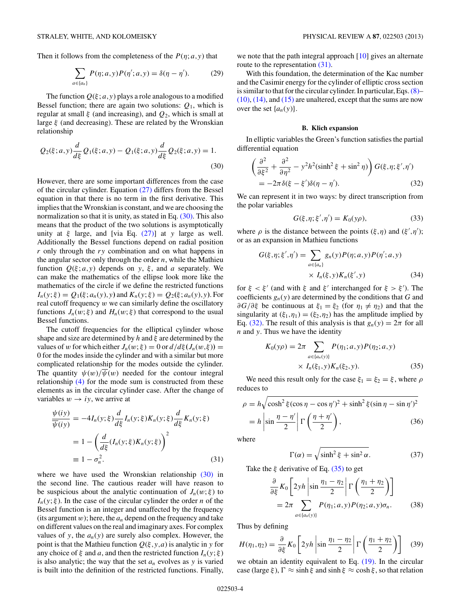<span id="page-3-0"></span>Then it follows from the completeness of the  $P(\eta; a, y)$  that

$$
\sum_{a \in \{a_n\}} P(\eta; a, y) P(\eta'; a, y) = \delta(\eta - \eta'). \tag{29}
$$

The function  $Q(\xi; a, y)$  plays a role analogous to a modified Bessel function; there are again two solutions:  $Q_1$ , which is regular at small *ξ* (and increasing), and *Q*2, which is small at large *ξ* (and decreasing). These are related by the Wronskian relationship

$$
Q_2(\xi; a, y) \frac{d}{d\xi} Q_1(\xi; a, y) - Q_1(\xi; a, y) \frac{d}{d\xi} Q_2(\xi; a, y) = 1.
$$
\n(30)

However, there are some important differences from the case of the circular cylinder. Equation [\(27\)](#page-2-0) differs from the Bessel equation in that there is no term in the first derivative. This implies that the Wronskian is constant, and we are choosing the normalization so that it is unity, as stated in Eq. (30). This also means that the product of the two solutions is asymptotically unity at *ξ* large, and [via Eq. [\(27\)\]](#page-2-0) at *y* large as well. Additionally the Bessel functions depend on radial position *r* only through the *ry* combination and on what happens in the angular sector only through the order *n*, while the Mathieu function  $Q(\xi; a, y)$  depends on *y*,  $\xi$ , and *a* separately. We can make the mathematics of the ellipse look more like the mathematics of the circle if we define the restricted functions  $I_n(y;\xi) = Q_1(\xi; a_n(y), y)$  and  $K_n(y;\xi) = Q_2(\xi; a_n(y), y)$ . For real cutoff frequency *w* we can similarly define the oscillatory functions  $J_n(w; \xi)$  and  $H_n(w; \xi)$  that correspond to the usual Bessel functions.

The cutoff frequencies for the elliptical cylinder whose shape and size are determined by *h* and *ξ* are determined by the values of *w* for which either  $J_n(w;\xi) = 0$  or  $d/d\xi(J_n(w,\xi)) =$ 0 for the modes inside the cylinder and with a similar but more complicated relationship for the modes outside the cylinder. The quantity  $\psi(w)/\overline{\psi}(w)$  needed for the contour integral relationship [\(4\)](#page-0-0) for the mode sum is constructed from these elements as in the circular cylinder case. After the change of variables  $w \rightarrow iy$ , we arrive at

$$
\frac{\psi(iy)}{\overline{\psi}(iy)} = -4I_n(y;\xi)\frac{d}{d\xi}I_n(y;\xi)K_n(y;\xi)\frac{d}{d\xi}K_n(y;\xi)
$$

$$
= 1 - \left(\frac{d}{d\xi}(I_n(y;\xi)K_n(y;\xi)\right)^2
$$

$$
\equiv 1 - \sigma_n^2.
$$
(31)

where we have used the Wronskian relationship (30) in the second line. The cautious reader will have reason to be suspicious about the analytic continuation of  $J_n(w;\xi)$  to  $I_n(y;\xi)$ . In the case of the circular cylinder the order *n* of the Bessel function is an integer and unaffected by the frequency (its argument  $w$ ); here, the  $a_n$  depend on the frequency and take on different values on the real and imaginary axes. For complex values of *y*, the  $a_n(y)$  are surely also complex. However, the point is that the Mathieu function  $Q(\xi, y, a)$  is analytic in *y* for any choice of  $\xi$  and *a*, and then the restricted function  $I_n(y; \xi)$ is also analytic; the way that the set  $a_n$  evolves as  $y$  is varied is built into the definition of the restricted functions. Finally,

we note that the path integral approach [\[10\]](#page-5-0) gives an alternate route to the representation  $(31)$ .

With this foundation, the determination of the Kac number and the Casimir energy for the cylinder of elliptic cross section is similar to that for the circular cylinder. In particular, Eqs.[\(8\)–](#page-0-0)  $(10)$ ,  $(14)$ , and  $(15)$  are unaltered, except that the sums are now over the set  $\{a_n(y)\}.$ 

## **B. Klich expansion**

In elliptic variables the Green's function satisfies the partial differential equation

$$
\left(\frac{\partial^2}{\partial \xi^2} + \frac{\partial^2}{\partial \eta^2} - y^2 h^2 (\sinh^2 \xi + \sin^2 \eta) \right) G(\xi, \eta; \xi', \eta')
$$
  
=  $-2\pi \delta(\xi - \xi') \delta(\eta - \eta').$  (32)

We can represent it in two ways: by direct transcription from the polar variables

$$
G(\xi, \eta; \xi', \eta') = K_0(y\rho),\tag{33}
$$

where  $\rho$  is the distance between the points  $(\xi, \eta)$  and  $(\xi', \eta')$ ; or as an expansion in Mathieu functions

$$
G(\xi, \eta; \xi', \eta') = \sum_{a \in \{a_n\}} g_n(y) P(\eta; a, y) P(\eta'; a, y)
$$

$$
\times I_n(\xi, y) K_n(\xi', y) \tag{34}
$$

for  $\xi < \xi'$  (and with  $\xi$  and  $\xi'$  interchanged for  $\xi > \xi'$ ). The coefficients  $g_n(y)$  are determined by the conditions that *G* and *∂G/∂ξ* be continuous at  $ξ₁ = ξ₂$  (for  $η₁ ≠ η₂$ ) and that the singularity at  $(\xi_1, \eta_1) = (\xi_2, \eta_2)$  has the amplitude implied by Eq. (32). The result of this analysis is that  $g_n(y) = 2\pi$  for all *n* and *y*. Thus we have the identity

$$
K_0(y\rho) = 2\pi \sum_{a \in \{a_n(y)\}} P(\eta_1; a, y) P(\eta_2; a, y)
$$
  
 
$$
\times I_n(\xi_1, y) K_n(\xi_2, y).
$$
 (35)

We need this result only for the case  $\xi_1 = \xi_2 = \xi$ , where  $\rho$ reduces to

$$
\rho = h \sqrt{\cosh^2 \xi (\cos \eta - \cos \eta')^2 + \sinh^2 \xi (\sin \eta - \sin \eta')^2}
$$

$$
= h \left| \sin \frac{\eta - \eta'}{2} \right| \Gamma \left( \frac{\eta + \eta'}{2} \right), \tag{36}
$$

where

$$
\Gamma(\alpha) = \sqrt{\sinh^2 \xi + \sin^2 \alpha}.
$$
 (37)

Take the *ξ* derivative of Eq. (35) to get

$$
\frac{\partial}{\partial \xi} K_0 \left[ 2yh \left| \sin \frac{\eta_1 - \eta_2}{2} \right| \Gamma \left( \frac{\eta_1 + \eta_2}{2} \right) \right]
$$
  
= 
$$
2\pi \sum_{a \in \{a_n(y)\}} P(\eta_1; a, y) P(\eta_2; a, y) \sigma_n.
$$
 (38)

Thus by defining

$$
H(\eta_1, \eta_2) = \frac{\partial}{\partial \xi} K_0 \left[ 2y h \left| \sin \frac{\eta_1 - \eta_2}{2} \right| \Gamma \left( \frac{\eta_1 + \eta_2}{2} \right) \right] \tag{39}
$$

we obtain an identity equivalent to Eq. [\(19\).](#page-2-0) In the circular case (large  $\xi$ ),  $\Gamma \approx \sinh \xi$  and  $\sinh \xi \approx \cosh \xi$ , so that relation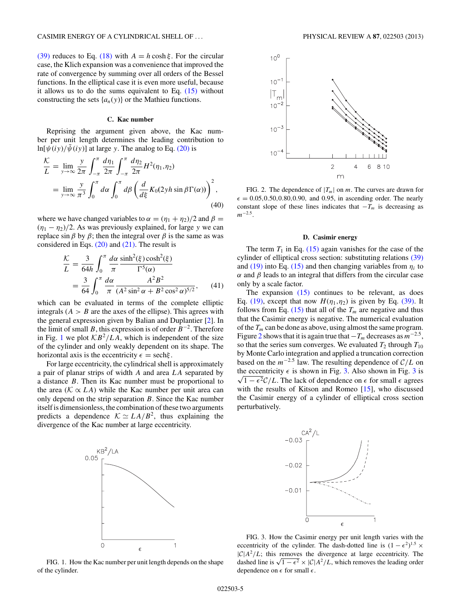<span id="page-4-0"></span>[\(39\)](#page-3-0) reduces to Eq. [\(18\)](#page-1-0) with  $A = h \cosh \xi$ . For the circular case, the Klich expansion was a convenience that improved the rate of convergence by summing over all orders of the Bessel functions. In the elliptical case it is even more useful, because it allows us to do the sums equivalent to Eq.  $(15)$  without constructing the sets  $\{a_n(y)\}$  or the Mathieu functions.

## **C. Kac number**

Reprising the argument given above, the Kac number per unit length determines the leading contribution to ln[ $\psi(iy)/\bar{\psi}(iy)$ ] at large *y*. The analog to Eq. [\(20\)](#page-2-0) is

$$
\frac{\mathcal{K}}{L} = \lim_{y \to \infty} \frac{y}{2\pi} \int_{-\pi}^{\pi} \frac{d\eta_1}{2\pi} \int_{-\pi}^{\pi} \frac{d\eta_2}{2\pi} H^2(\eta_1, \eta_2)
$$
  
= 
$$
\lim_{y \to \infty} \frac{y}{\pi^3} \int_0^{\pi} d\alpha \int_0^{\pi} d\beta \left( \frac{d}{d\xi} K_0(2yh \sin \beta \Gamma(\alpha)) \right)^2,
$$
(40)

where we have changed variables to  $\alpha = (\eta_1 + \eta_2)/2$  and  $\beta =$  $(\eta_1 - \eta_2)/2$ . As was previously explained, for large *y* we can replace sin *β* by *β*; then the integral over *β* is the same as was considered in Eqs. [\(20\)](#page-2-0) and [\(21\).](#page-2-0) The result is

$$
\frac{\mathcal{K}}{L} = \frac{3}{64h} \int_0^\pi \frac{d\alpha}{\pi} \frac{\sinh^2(\xi)\cosh^2(\xi)}{\Gamma^5(\alpha)}
$$

$$
= \frac{3}{64} \int_0^\pi \frac{d\alpha}{\pi} \frac{A^2 B^2}{(A^2 \sin^2 \alpha + B^2 \cos^2 \alpha)^{5/2}}, \qquad (41)
$$

which can be evaluated in terms of the complete elliptic integrals  $(A > B$  are the axes of the ellipse). This agrees with the general expression given by Balian and Duplantier [\[2\]](#page-5-0). In the limit of small *B*, this expression is of order *B*<sup>−</sup>2. Therefore in Fig. 1 we plot  $\mathcal{KB}^2/LA$ , which is independent of the size of the cylinder and only weakly dependent on its shape. The horizontal axis is the eccentricity  $\epsilon = \text{sech}\xi$ .

For large eccentricity, the cylindrical shell is approximately a pair of planar strips of width *A* and area *LA* separated by a distance *B*. Then its Kac number must be proportional to the area ( $K \propto L_A$ ) while the Kac number per unit area can only depend on the strip separation *B*. Since the Kac number itself is dimensionless, the combination of these two arguments predicts a dependence  $K \simeq L_A/B^2$ , thus explaining the divergence of the Kac number at large eccentricity.





FIG. 2. The dependence of  $|T_m|$  on *m*. The curves are drawn for  $\epsilon = 0.05, 0.50, 0.80, 0.90,$  and 0.95, in ascending order. The nearly constant slope of these lines indicates that  $-T_m$  is decreasing as *m*<sup>−</sup>2*.*5.

#### **D. Casimir energy**

The term  $T_1$  in Eq. [\(15\)](#page-1-0) again vanishes for the case of the cylinder of elliptical cross section: substituting relations [\(39\)](#page-3-0) and [\(19\)](#page-2-0) into Eq. [\(15\)](#page-1-0) and then changing variables from  $\eta_i$  to *α* and *β* leads to an integral that differs from the circular case only by a scale factor.

The expansion [\(15\)](#page-1-0) continues to be relevant, as does Eq. [\(19\),](#page-2-0) except that now  $H(\eta_1, \eta_2)$  is given by Eq. [\(39\).](#page-3-0) It follows from Eq.  $(15)$  that all of the  $T_m$  are negative and thus that the Casimir energy is negative. The numerical evaluation of the  $T_m$  can be done as above, using almost the same program. Figure 2 shows that it is again true that  $-T_m$  decreases as  $m^{-2.5}$ , so that the series sum converges. We evaluated  $T_2$  through  $T_{10}$ by Monte Carlo integration and applied a truncation correction based on the  $m^{-2.5}$  law. The resulting dependence of  $C/L$  on the eccentricity  $\epsilon$  is shown in Fig. 3. Also shown in Fig. 3 is  $\sqrt{1-\epsilon^2}C/L$ . The lack of dependence on  $\epsilon$  for small  $\epsilon$  agrees with the results of Kitson and Romeo [\[15\]](#page-5-0), who discussed the Casimir energy of a cylinder of elliptical cross section perturbatively.



FIG. 1. How the Kac number per unit length depends on the shape of the cylinder.

FIG. 3. How the Casimir energy per unit length varies with the eccentricity of the cylinder. The dash-dotted line is  $(1 - \epsilon^2)^{1.5} \times$  $|C|A^2/L$ ; this removes the divergence at large eccentricity. The dashed line is  $\sqrt{1-\epsilon^2} \times |\mathcal{C}| A^2/L$ , which removes the leading order dependence on  $\epsilon$  for small  $\epsilon$ .